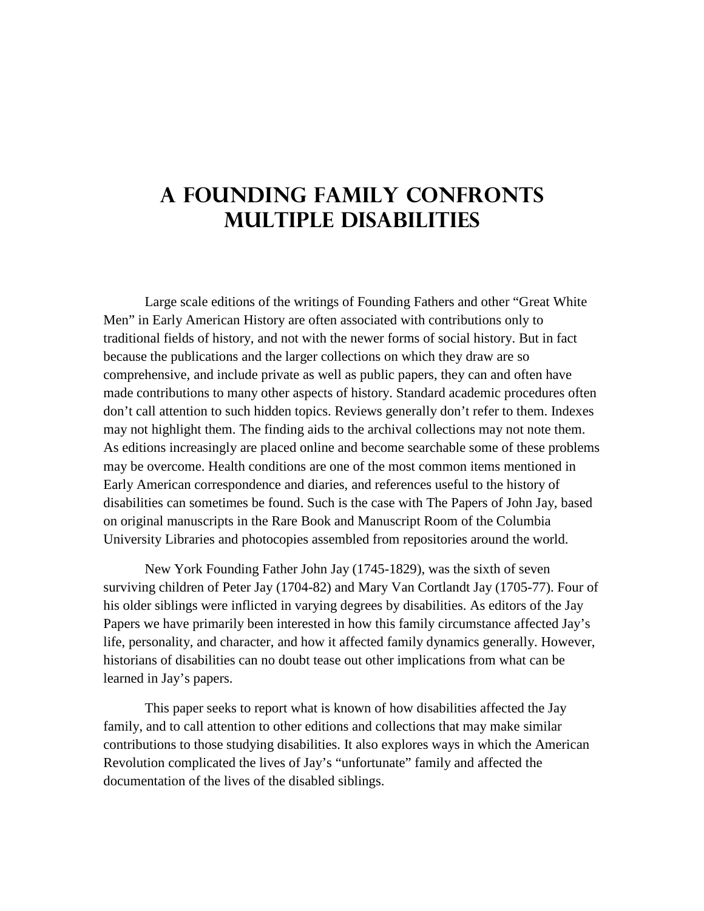## **A Founding Family Confronts Multiple Disabilities**

Large scale editions of the writings of Founding Fathers and other "Great White Men" in Early American History are often associated with contributions only to traditional fields of history, and not with the newer forms of social history. But in fact because the publications and the larger collections on which they draw are so comprehensive, and include private as well as public papers, they can and often have made contributions to many other aspects of history. Standard academic procedures often don't call attention to such hidden topics. Reviews generally don't refer to them. Indexes may not highlight them. The finding aids to the archival collections may not note them. As editions increasingly are placed online and become searchable some of these problems may be overcome. Health conditions are one of the most common items mentioned in Early American correspondence and diaries, and references useful to the history of disabilities can sometimes be found. Such is the case with The Papers of John Jay, based on original manuscripts in the Rare Book and Manuscript Room of the Columbia University Libraries and photocopies assembled from repositories around the world.

New York Founding Father John Jay (1745-1829), was the sixth of seven surviving children of Peter Jay (1704-82) and Mary Van Cortlandt Jay (1705-77). Four of his older siblings were inflicted in varying degrees by disabilities. As editors of the Jay Papers we have primarily been interested in how this family circumstance affected Jay's life, personality, and character, and how it affected family dynamics generally. However, historians of disabilities can no doubt tease out other implications from what can be learned in Jay's papers.

This paper seeks to report what is known of how disabilities affected the Jay family, and to call attention to other editions and collections that may make similar contributions to those studying disabilities. It also explores ways in which the American Revolution complicated the lives of Jay's "unfortunate" family and affected the documentation of the lives of the disabled siblings.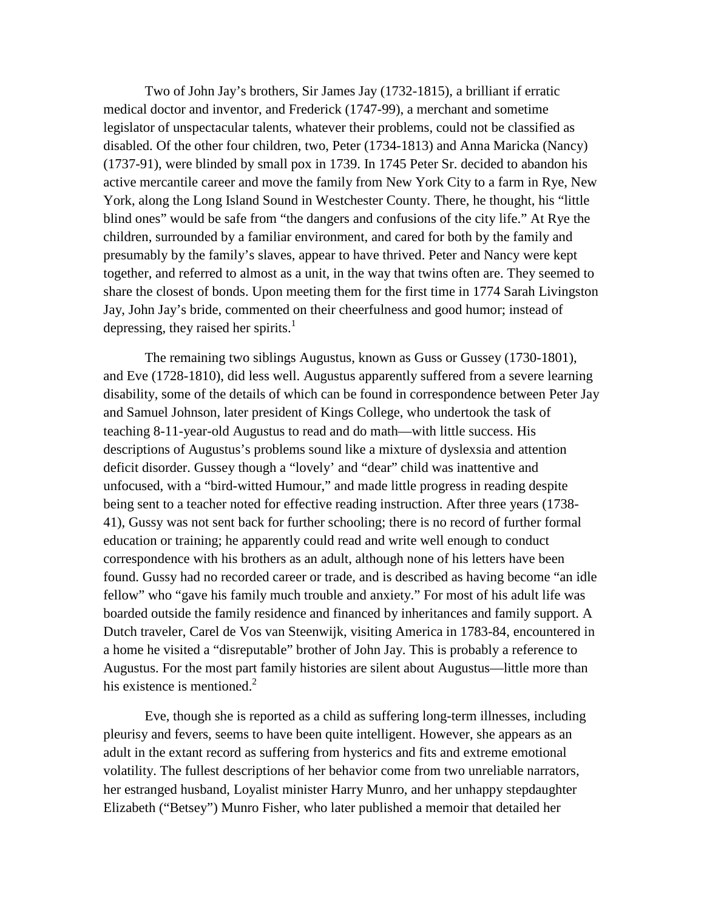Two of John Jay's brothers, Sir James Jay (1732-1815), a brilliant if erratic medical doctor and inventor, and Frederick (1747-99), a merchant and sometime legislator of unspectacular talents, whatever their problems, could not be classified as disabled. Of the other four children, two, Peter (1734-1813) and Anna Maricka (Nancy) (1737-91), were blinded by small pox in 1739. In 1745 Peter Sr. decided to abandon his active mercantile career and move the family from New York City to a farm in Rye, New York, along the Long Island Sound in Westchester County. There, he thought, his "little blind ones" would be safe from "the dangers and confusions of the city life." At Rye the children, surrounded by a familiar environment, and cared for both by the family and presumably by the family's slaves, appear to have thrived. Peter and Nancy were kept together, and referred to almost as a unit, in the way that twins often are. They seemed to share the closest of bonds. Upon meeting them for the first time in 1774 Sarah Livingston Jay, John Jay's bride, commented on their cheerfulness and good humor; instead of depressing, they raised her spirits. $<sup>1</sup>$ </sup>

The remaining two siblings Augustus, known as Guss or Gussey (1730-1801), and Eve (1728-1810), did less well. Augustus apparently suffered from a severe learning disability, some of the details of which can be found in correspondence between Peter Jay and Samuel Johnson, later president of Kings College, who undertook the task of teaching 8-11-year-old Augustus to read and do math—with little success. His descriptions of Augustus's problems sound like a mixture of dyslexsia and attention deficit disorder. Gussey though a "lovely' and "dear" child was inattentive and unfocused, with a "bird-witted Humour," and made little progress in reading despite being sent to a teacher noted for effective reading instruction. After three years (1738- 41), Gussy was not sent back for further schooling; there is no record of further formal education or training; he apparently could read and write well enough to conduct correspondence with his brothers as an adult, although none of his letters have been found. Gussy had no recorded career or trade, and is described as having become "an idle fellow" who "gave his family much trouble and anxiety." For most of his adult life was boarded outside the family residence and financed by inheritances and family support. A Dutch traveler, Carel de Vos van Steenwijk, visiting America in 1783-84, encountered in a home he visited a "disreputable" brother of John Jay. This is probably a reference to Augustus. For the most part family histories are silent about Augustus—little more than his existence is mentioned.<sup>2</sup>

Eve, though she is reported as a child as suffering long-term illnesses, including pleurisy and fevers, seems to have been quite intelligent. However, she appears as an adult in the extant record as suffering from hysterics and fits and extreme emotional volatility. The fullest descriptions of her behavior come from two unreliable narrators, her estranged husband, Loyalist minister Harry Munro, and her unhappy stepdaughter Elizabeth ("Betsey") Munro Fisher, who later published a memoir that detailed her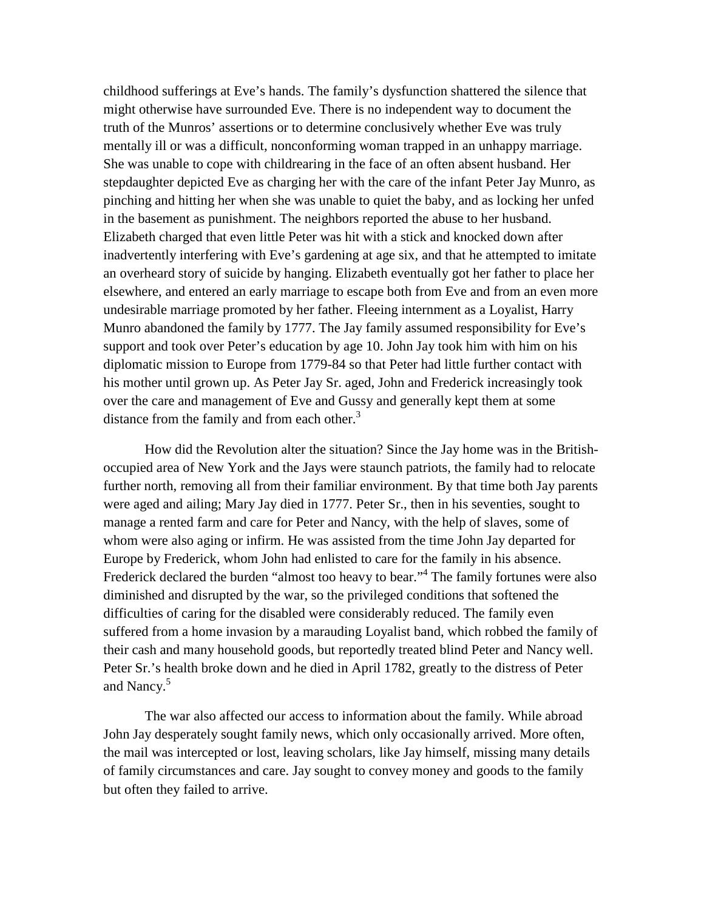childhood sufferings at Eve's hands. The family's dysfunction shattered the silence that might otherwise have surrounded Eve. There is no independent way to document the truth of the Munros' assertions or to determine conclusively whether Eve was truly mentally ill or was a difficult, nonconforming woman trapped in an unhappy marriage. She was unable to cope with childrearing in the face of an often absent husband. Her stepdaughter depicted Eve as charging her with the care of the infant Peter Jay Munro, as pinching and hitting her when she was unable to quiet the baby, and as locking her unfed in the basement as punishment. The neighbors reported the abuse to her husband. Elizabeth charged that even little Peter was hit with a stick and knocked down after inadvertently interfering with Eve's gardening at age six, and that he attempted to imitate an overheard story of suicide by hanging. Elizabeth eventually got her father to place her elsewhere, and entered an early marriage to escape both from Eve and from an even more undesirable marriage promoted by her father. Fleeing internment as a Loyalist, Harry Munro abandoned the family by 1777. The Jay family assumed responsibility for Eve's support and took over Peter's education by age 10. John Jay took him with him on his diplomatic mission to Europe from 1779-84 so that Peter had little further contact with his mother until grown up. As Peter Jay Sr. aged, John and Frederick increasingly took over the care and management of Eve and Gussy and generally kept them at some distance from the family and from each other. $3$ 

How did the Revolution alter the situation? Since the Jay home was in the Britishoccupied area of New York and the Jays were staunch patriots, the family had to relocate further north, removing all from their familiar environment. By that time both Jay parents were aged and ailing; Mary Jay died in 1777. Peter Sr., then in his seventies, sought to manage a rented farm and care for Peter and Nancy, with the help of slaves, some of whom were also aging or infirm. He was assisted from the time John Jay departed for Europe by Frederick, whom John had enlisted to care for the family in his absence. Frederick declared the burden "almost too heavy to bear."<sup>4</sup> The family fortunes were also diminished and disrupted by the war, so the privileged conditions that softened the difficulties of caring for the disabled were considerably reduced. The family even suffered from a home invasion by a marauding Loyalist band, which robbed the family of their cash and many household goods, but reportedly treated blind Peter and Nancy well. Peter Sr.'s health broke down and he died in April 1782, greatly to the distress of Peter and Nancy.<sup>5</sup>

The war also affected our access to information about the family. While abroad John Jay desperately sought family news, which only occasionally arrived. More often, the mail was intercepted or lost, leaving scholars, like Jay himself, missing many details of family circumstances and care. Jay sought to convey money and goods to the family but often they failed to arrive.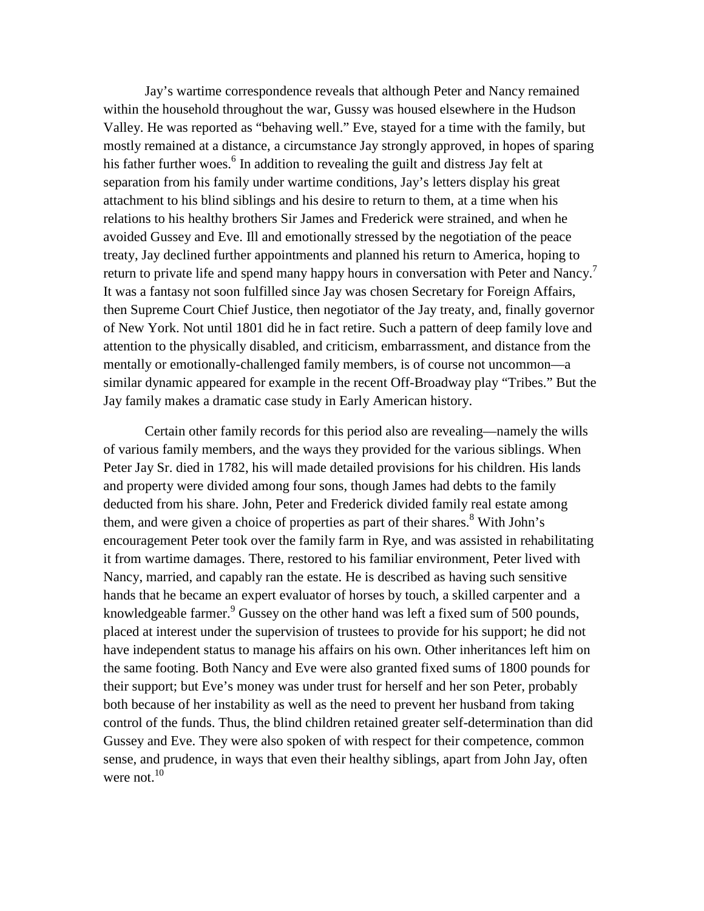Jay's wartime correspondence reveals that although Peter and Nancy remained within the household throughout the war, Gussy was housed elsewhere in the Hudson Valley. He was reported as "behaving well." Eve, stayed for a time with the family, but mostly remained at a distance, a circumstance Jay strongly approved, in hopes of sparing his father further woes.<sup>6</sup> In addition to revealing the guilt and distress Jay felt at separation from his family under wartime conditions, Jay's letters display his great attachment to his blind siblings and his desire to return to them, at a time when his relations to his healthy brothers Sir James and Frederick were strained, and when he avoided Gussey and Eve. Ill and emotionally stressed by the negotiation of the peace treaty, Jay declined further appointments and planned his return to America, hoping to return to private life and spend many happy hours in conversation with Peter and Nancy.<sup>7</sup> It was a fantasy not soon fulfilled since Jay was chosen Secretary for Foreign Affairs, then Supreme Court Chief Justice, then negotiator of the Jay treaty, and, finally governor of New York. Not until 1801 did he in fact retire. Such a pattern of deep family love and attention to the physically disabled, and criticism, embarrassment, and distance from the mentally or emotionally-challenged family members, is of course not uncommon—a similar dynamic appeared for example in the recent Off-Broadway play "Tribes." But the Jay family makes a dramatic case study in Early American history.

Certain other family records for this period also are revealing—namely the wills of various family members, and the ways they provided for the various siblings. When Peter Jay Sr. died in 1782, his will made detailed provisions for his children. His lands and property were divided among four sons, though James had debts to the family deducted from his share. John, Peter and Frederick divided family real estate among them, and were given a choice of properties as part of their shares.<sup>8</sup> With John's encouragement Peter took over the family farm in Rye, and was assisted in rehabilitating it from wartime damages. There, restored to his familiar environment, Peter lived with Nancy, married, and capably ran the estate. He is described as having such sensitive hands that he became an expert evaluator of horses by touch, a skilled carpenter and a knowledgeable farmer.  $\frac{9}{9}$  Gussey on the other hand was left a fixed sum of 500 pounds, placed at interest under the supervision of trustees to provide for his support; he did not have independent status to manage his affairs on his own. Other inheritances left him on the same footing. Both Nancy and Eve were also granted fixed sums of 1800 pounds for their support; but Eve's money was under trust for herself and her son Peter, probably both because of her instability as well as the need to prevent her husband from taking control of the funds. Thus, the blind children retained greater self-determination than did Gussey and Eve. They were also spoken of with respect for their competence, common sense, and prudence, in ways that even their healthy siblings, apart from John Jay, often were not. $10$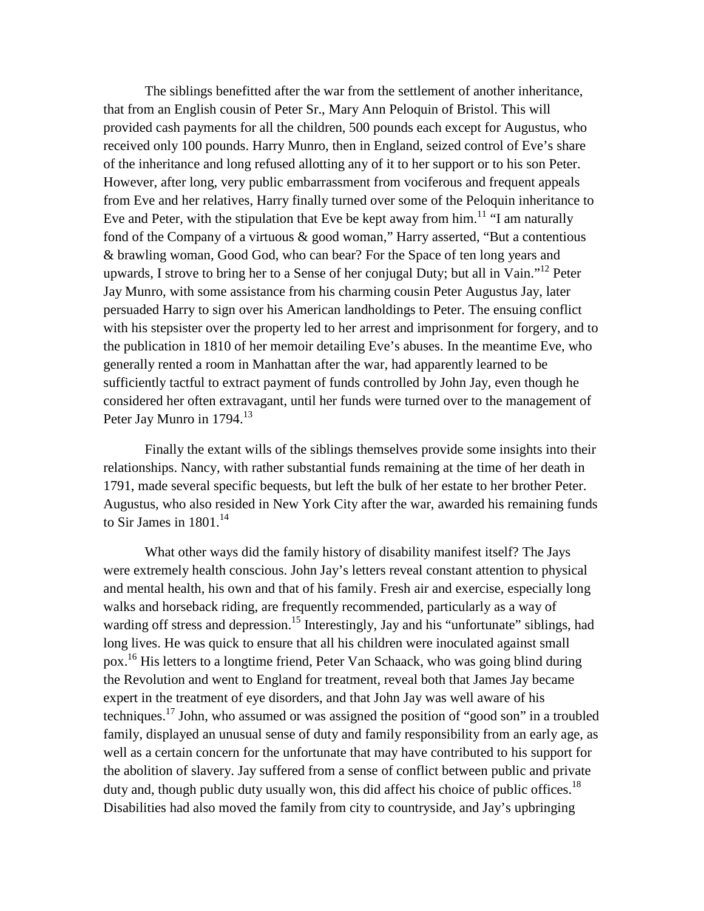The siblings benefitted after the war from the settlement of another inheritance, that from an English cousin of Peter Sr., Mary Ann Peloquin of Bristol. This will provided cash payments for all the children, 500 pounds each except for Augustus, who received only 100 pounds. Harry Munro, then in England, seized control of Eve's share of the inheritance and long refused allotting any of it to her support or to his son Peter. However, after long, very public embarrassment from vociferous and frequent appeals from Eve and her relatives, Harry finally turned over some of the Peloquin inheritance to Eve and Peter, with the stipulation that Eve be kept away from  $\lim_{n \to \infty} 11$  "I am naturally fond of the Company of a virtuous & good woman," Harry asserted, "But a contentious & brawling woman, Good God, who can bear? For the Space of ten long years and upwards, I strove to bring her to a Sense of her conjugal Duty; but all in Vain."<sup>12</sup> Peter Jay Munro, with some assistance from his charming cousin Peter Augustus Jay, later persuaded Harry to sign over his American landholdings to Peter. The ensuing conflict with his stepsister over the property led to her arrest and imprisonment for forgery, and to the publication in 1810 of her memoir detailing Eve's abuses. In the meantime Eve, who generally rented a room in Manhattan after the war, had apparently learned to be sufficiently tactful to extract payment of funds controlled by John Jay, even though he considered her often extravagant, until her funds were turned over to the management of Peter Jay Munro in  $1794.<sup>13</sup>$ 

Finally the extant wills of the siblings themselves provide some insights into their relationships. Nancy, with rather substantial funds remaining at the time of her death in 1791, made several specific bequests, but left the bulk of her estate to her brother Peter. Augustus, who also resided in New York City after the war, awarded his remaining funds to Sir James in  $1801$ <sup>14</sup>

What other ways did the family history of disability manifest itself? The Jays were extremely health conscious. John Jay's letters reveal constant attention to physical and mental health, his own and that of his family. Fresh air and exercise, especially long walks and horseback riding, are frequently recommended, particularly as a way of warding off stress and depression.<sup>15</sup> Interestingly, Jay and his "unfortunate" siblings, had long lives. He was quick to ensure that all his children were inoculated against small pox.<sup>16</sup> His letters to a longtime friend, Peter Van Schaack, who was going blind during the Revolution and went to England for treatment, reveal both that James Jay became expert in the treatment of eye disorders, and that John Jay was well aware of his techniques.<sup>17</sup> John, who assumed or was assigned the position of "good son" in a troubled family, displayed an unusual sense of duty and family responsibility from an early age, as well as a certain concern for the unfortunate that may have contributed to his support for the abolition of slavery. Jay suffered from a sense of conflict between public and private duty and, though public duty usually won, this did affect his choice of public offices.<sup>18</sup> Disabilities had also moved the family from city to countryside, and Jay's upbringing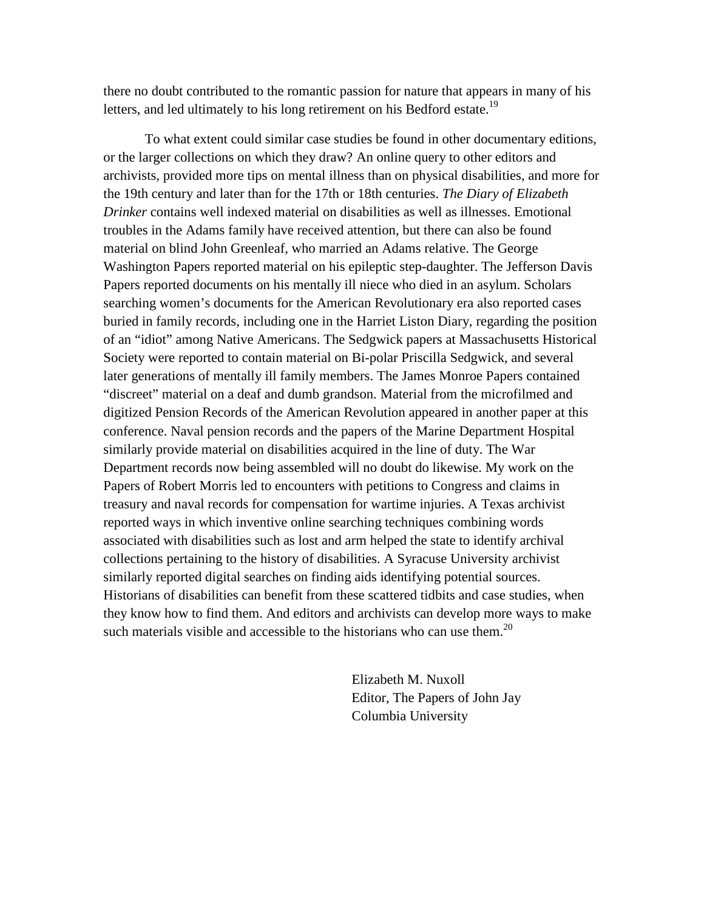there no doubt contributed to the romantic passion for nature that appears in many of his letters, and led ultimately to his long retirement on his Bedford estate.<sup>19</sup>

To what extent could similar case studies be found in other documentary editions, or the larger collections on which they draw? An online query to other editors and archivists, provided more tips on mental illness than on physical disabilities, and more for the 19th century and later than for the 17th or 18th centuries. *The Diary of Elizabeth Drinker* contains well indexed material on disabilities as well as illnesses. Emotional troubles in the Adams family have received attention, but there can also be found material on blind John Greenleaf, who married an Adams relative. The George Washington Papers reported material on his epileptic step-daughter. The Jefferson Davis Papers reported documents on his mentally ill niece who died in an asylum. Scholars searching women's documents for the American Revolutionary era also reported cases buried in family records, including one in the Harriet Liston Diary, regarding the position of an "idiot" among Native Americans. The Sedgwick papers at Massachusetts Historical Society were reported to contain material on Bi-polar Priscilla Sedgwick, and several later generations of mentally ill family members. The James Monroe Papers contained "discreet" material on a deaf and dumb grandson. Material from the microfilmed and digitized Pension Records of the American Revolution appeared in another paper at this conference. Naval pension records and the papers of the Marine Department Hospital similarly provide material on disabilities acquired in the line of duty. The War Department records now being assembled will no doubt do likewise. My work on the Papers of Robert Morris led to encounters with petitions to Congress and claims in treasury and naval records for compensation for wartime injuries. A Texas archivist reported ways in which inventive online searching techniques combining words associated with disabilities such as lost and arm helped the state to identify archival collections pertaining to the history of disabilities. A Syracuse University archivist similarly reported digital searches on finding aids identifying potential sources. Historians of disabilities can benefit from these scattered tidbits and case studies, when they know how to find them. And editors and archivists can develop more ways to make such materials visible and accessible to the historians who can use them.<sup>20</sup>

> Elizabeth M. Nuxoll Editor, The Papers of John Jay Columbia University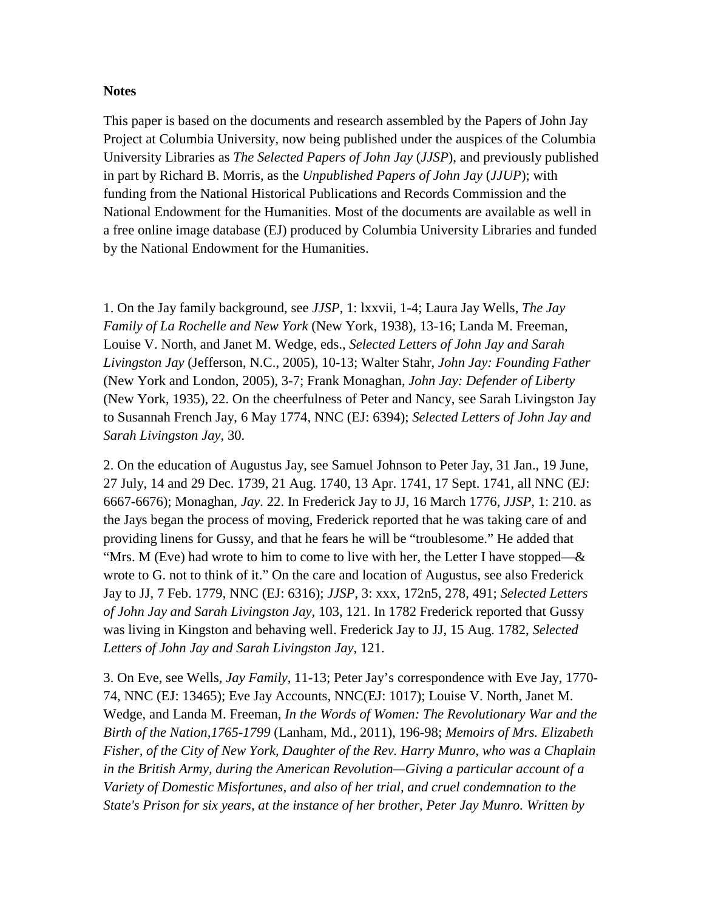## **Notes**

This paper is based on the documents and research assembled by the Papers of John Jay Project at Columbia University, now being published under the auspices of the Columbia University Libraries as *The Selected Papers of John Jay* (*JJSP*), and previously published in part by Richard B. Morris, as the *Unpublished Papers of John Jay* (*JJUP*); with funding from the National Historical Publications and Records Commission and the National Endowment for the Humanities. Most of the documents are available as well in a free online image database (EJ) produced by Columbia University Libraries and funded by the National Endowment for the Humanities.

1. On the Jay family background, see *JJSP*, 1: lxxvii, 1-4; Laura Jay Wells, *The Jay Family of La Rochelle and New York* (New York, 1938), 13-16; Landa M. Freeman, Louise V. North, and Janet M. Wedge, eds., *Selected Letters of John Jay and Sarah Livingston Jay* (Jefferson, N.C., 2005), 10-13; Walter Stahr, *John Jay: Founding Father* (New York and London, 2005), 3-7; Frank Monaghan, *John Jay: Defender of Liberty* (New York, 1935), 22. On the cheerfulness of Peter and Nancy, see Sarah Livingston Jay to Susannah French Jay, 6 May 1774, NNC (EJ: 6394); *Selected Letters of John Jay and Sarah Livingston Jay*, 30.

2. On the education of Augustus Jay, see Samuel Johnson to Peter Jay, 31 Jan., 19 June, 27 July, 14 and 29 Dec. 1739, 21 Aug. 1740, 13 Apr. 1741, 17 Sept. 1741, all NNC (EJ: 6667-6676); Monaghan, *Jay*. 22. In Frederick Jay to JJ, 16 March 1776, *JJSP*, 1: 210. as the Jays began the process of moving, Frederick reported that he was taking care of and providing linens for Gussy, and that he fears he will be "troublesome." He added that "Mrs. M (Eve) had wrote to him to come to live with her, the Letter I have stopped— $\&$ wrote to G. not to think of it." On the care and location of Augustus, see also Frederick Jay to JJ, 7 Feb. 1779, NNC (EJ: 6316); *JJSP*, 3: xxx, 172n5, 278, 491; *Selected Letters of John Jay and Sarah Livingston Jay,* 103, 121. In 1782 Frederick reported that Gussy was living in Kingston and behaving well. Frederick Jay to JJ, 15 Aug. 1782, *Selected Letters of John Jay and Sarah Livingston Jay*, 121.

3. On Eve, see Wells, *Jay Family*, 11-13; Peter Jay's correspondence with Eve Jay, 1770- 74, NNC (EJ: 13465); Eve Jay Accounts, NNC(EJ: 1017); Louise V. North, Janet M. Wedge, and Landa M. Freeman, *In the Words of Women: The Revolutionary War and the Birth of the Nation,1765-1799* (Lanham, Md., 2011), 196-98; *Memoirs of Mrs. Elizabeth Fisher, of the City of New York, Daughter of the Rev. Harry Munro, who was a Chaplain in the British Army, during the American Revolution—Giving a particular account of a Variety of Domestic Misfortunes, and also of her trial, and cruel condemnation to the State's Prison for six years, at the instance of her brother, Peter Jay Munro. Written by*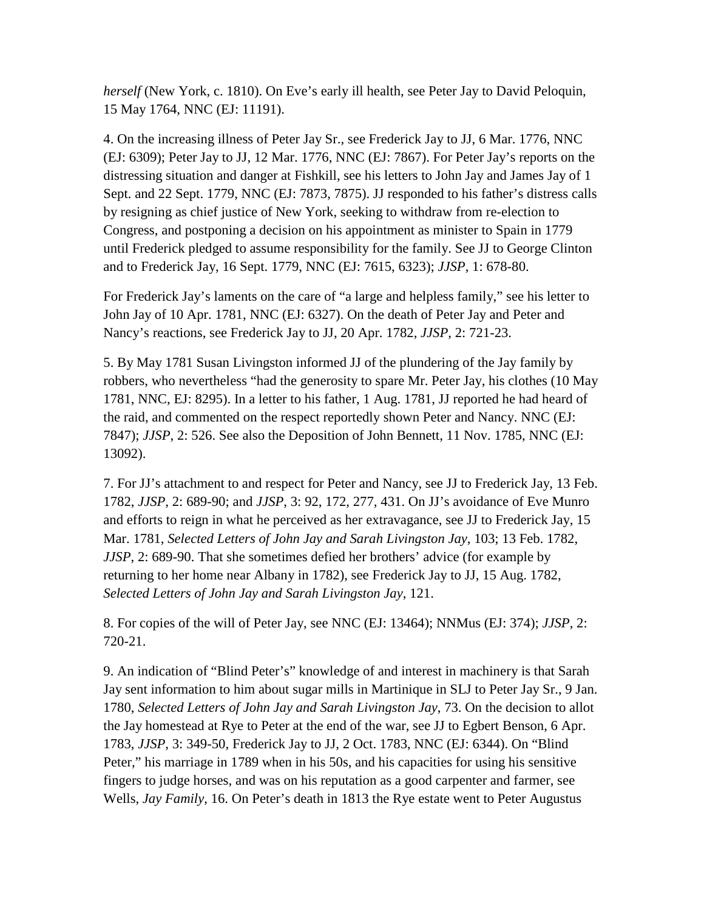*herself* (New York, c. 1810). On Eve's early ill health, see Peter Jay to David Peloquin, 15 May 1764, NNC (EJ: 11191).

4. On the increasing illness of Peter Jay Sr., see Frederick Jay to JJ, 6 Mar. 1776, NNC (EJ: 6309); Peter Jay to JJ, 12 Mar. 1776, NNC (EJ: 7867). For Peter Jay's reports on the distressing situation and danger at Fishkill, see his letters to John Jay and James Jay of 1 Sept. and 22 Sept. 1779, NNC (EJ: 7873, 7875). JJ responded to his father's distress calls by resigning as chief justice of New York, seeking to withdraw from re-election to Congress, and postponing a decision on his appointment as minister to Spain in 1779 until Frederick pledged to assume responsibility for the family. See JJ to George Clinton and to Frederick Jay, 16 Sept. 1779, NNC (EJ: 7615, 6323); *JJSP*, 1: 678-80.

For Frederick Jay's laments on the care of "a large and helpless family," see his letter to John Jay of 10 Apr. 1781, NNC (EJ: 6327). On the death of Peter Jay and Peter and Nancy's reactions, see Frederick Jay to JJ, 20 Apr. 1782, *JJSP*, 2: 721-23.

5. By May 1781 Susan Livingston informed JJ of the plundering of the Jay family by robbers, who nevertheless "had the generosity to spare Mr. Peter Jay, his clothes (10 May 1781, NNC, EJ: 8295). In a letter to his father, 1 Aug. 1781, JJ reported he had heard of the raid, and commented on the respect reportedly shown Peter and Nancy. NNC (EJ: 7847); *JJSP*, 2: 526. See also the Deposition of John Bennett, 11 Nov. 1785, NNC (EJ: 13092).

7. For JJ's attachment to and respect for Peter and Nancy, see JJ to Frederick Jay, 13 Feb. 1782, *JJSP*, 2: 689-90; and *JJSP*, 3: 92, 172, 277, 431. On JJ's avoidance of Eve Munro and efforts to reign in what he perceived as her extravagance, see JJ to Frederick Jay, 15 Mar. 1781, *Selected Letters of John Jay and Sarah Livingston Jay*, 103; 13 Feb. 1782, *JJSP*, 2: 689-90. That she sometimes defied her brothers' advice (for example by returning to her home near Albany in 1782), see Frederick Jay to JJ, 15 Aug. 1782, *Selected Letters of John Jay and Sarah Livingston Jay*, 121.

8. For copies of the will of Peter Jay, see NNC (EJ: 13464); NNMus (EJ: 374); *JJSP*, 2: 720-21.

9. An indication of "Blind Peter's" knowledge of and interest in machinery is that Sarah Jay sent information to him about sugar mills in Martinique in SLJ to Peter Jay Sr., 9 Jan. 1780, *Selected Letters of John Jay and Sarah Livingston Jay*, 73. On the decision to allot the Jay homestead at Rye to Peter at the end of the war, see JJ to Egbert Benson, 6 Apr. 1783, *JJSP*, 3: 349-50, Frederick Jay to JJ, 2 Oct. 1783, NNC (EJ: 6344). On "Blind Peter," his marriage in 1789 when in his 50s, and his capacities for using his sensitive fingers to judge horses, and was on his reputation as a good carpenter and farmer, see Wells, *Jay Family*, 16. On Peter's death in 1813 the Rye estate went to Peter Augustus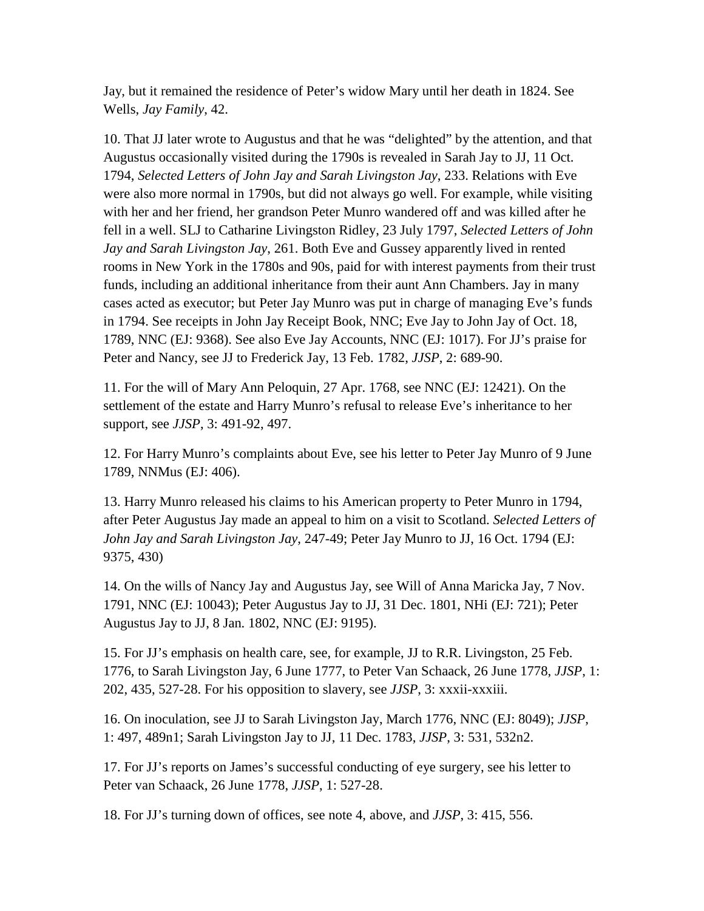Jay, but it remained the residence of Peter's widow Mary until her death in 1824. See Wells, *Jay Family*, 42.

10. That JJ later wrote to Augustus and that he was "delighted" by the attention, and that Augustus occasionally visited during the 1790s is revealed in Sarah Jay to JJ, 11 Oct. 1794, *Selected Letters of John Jay and Sarah Livingston Jay*, 233. Relations with Eve were also more normal in 1790s, but did not always go well. For example, while visiting with her and her friend, her grandson Peter Munro wandered off and was killed after he fell in a well. SLJ to Catharine Livingston Ridley, 23 July 1797, *Selected Letters of John Jay and Sarah Livingston Jay*, 261. Both Eve and Gussey apparently lived in rented rooms in New York in the 1780s and 90s, paid for with interest payments from their trust funds, including an additional inheritance from their aunt Ann Chambers. Jay in many cases acted as executor; but Peter Jay Munro was put in charge of managing Eve's funds in 1794. See receipts in John Jay Receipt Book, NNC; Eve Jay to John Jay of Oct. 18, 1789, NNC (EJ: 9368). See also Eve Jay Accounts, NNC (EJ: 1017). For JJ's praise for Peter and Nancy, see JJ to Frederick Jay, 13 Feb. 1782, *JJSP*, 2: 689-90.

11. For the will of Mary Ann Peloquin, 27 Apr. 1768, see NNC (EJ: 12421). On the settlement of the estate and Harry Munro's refusal to release Eve's inheritance to her support, see *JJSP*, 3: 491-92, 497.

12. For Harry Munro's complaints about Eve, see his letter to Peter Jay Munro of 9 June 1789, NNMus (EJ: 406).

13. Harry Munro released his claims to his American property to Peter Munro in 1794, after Peter Augustus Jay made an appeal to him on a visit to Scotland. *Selected Letters of John Jay and Sarah Livingston Jay*, 247-49; Peter Jay Munro to JJ, 16 Oct. 1794 (EJ: 9375, 430)

14. On the wills of Nancy Jay and Augustus Jay, see Will of Anna Maricka Jay, 7 Nov. 1791, NNC (EJ: 10043); Peter Augustus Jay to JJ, 31 Dec. 1801, NHi (EJ: 721); Peter Augustus Jay to JJ, 8 Jan. 1802, NNC (EJ: 9195).

15. For JJ's emphasis on health care, see, for example, JJ to R.R. Livingston, 25 Feb. 1776, to Sarah Livingston Jay, 6 June 1777, to Peter Van Schaack, 26 June 1778, *JJSP*, 1: 202, 435, 527-28. For his opposition to slavery, see *JJSP*, 3: xxxii-xxxiii.

16. On inoculation, see JJ to Sarah Livingston Jay, March 1776, NNC (EJ: 8049); *JJSP*, 1: 497, 489n1; Sarah Livingston Jay to JJ, 11 Dec. 1783, *JJSP*, 3: 531, 532n2.

17. For JJ's reports on James's successful conducting of eye surgery, see his letter to Peter van Schaack, 26 June 1778, *JJSP*, 1: 527-28.

18. For JJ's turning down of offices, see note 4, above, and *JJSP*, 3: 415, 556.